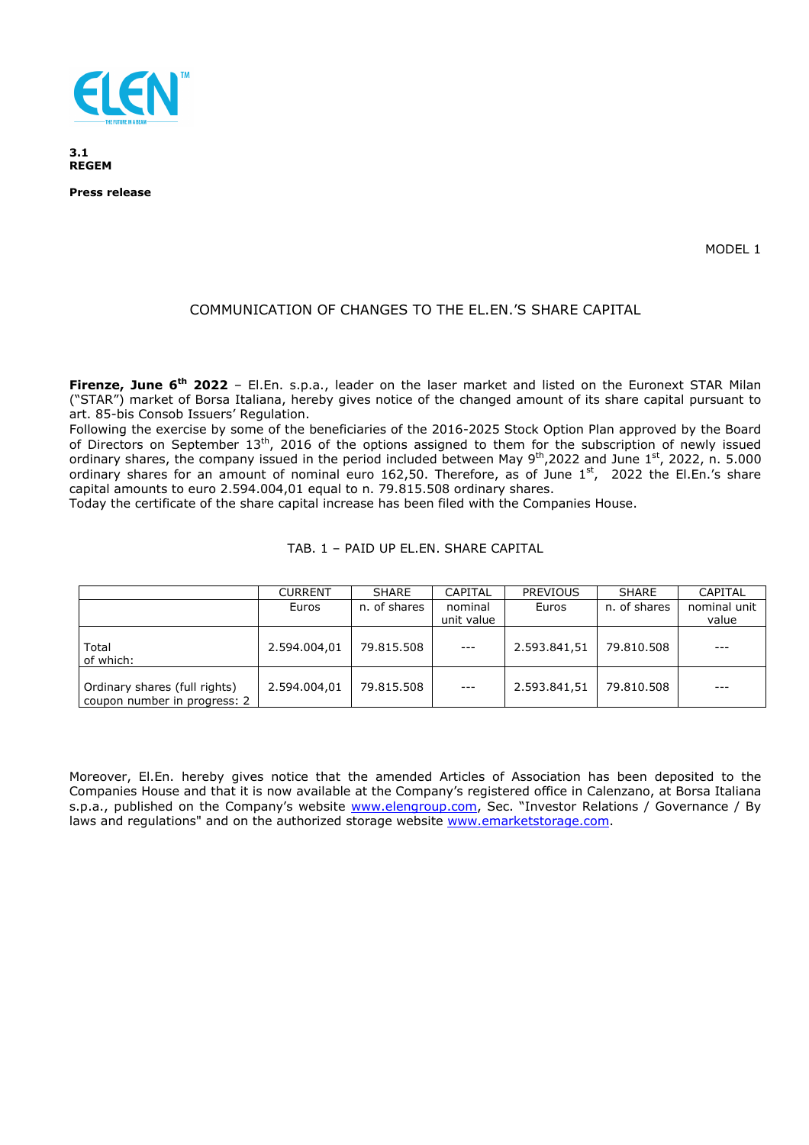

**3.1 REGEM** 

**Press release** 

MODEL 1

## COMMUNICATION OF CHANGES TO THE EL.EN.'S SHARE CAPITAL

**Firenze, June 6th 2022** – El.En. s.p.a., leader on the laser market and listed on the Euronext STAR Milan ("STAR") market of Borsa Italiana, hereby gives notice of the changed amount of its share capital pursuant to art. 85-bis Consob Issuers' Regulation.

Following the exercise by some of the beneficiaries of the 2016-2025 Stock Option Plan approved by the Board of Directors on September 13<sup>th</sup>, 2016 of the options assigned to them for the subscription of newly issued ordinary shares, the company issued in the period included between May  $9^{th}$ ,2022 and June  $1^{st}$ , 2022, n. 5.000 ordinary shares for an amount of nominal euro 162,50. Therefore, as of June 1st, 2022 the El.En.'s share capital amounts to euro 2.594.004,01 equal to n. 79.815.508 ordinary shares.

Today the certificate of the share capital increase has been filed with the Companies House.

|  |  | TAB. 1 - PAID UP EL.EN. SHARE CAPITAL |
|--|--|---------------------------------------|
|  |  |                                       |

|                                                               | <b>CURRENT</b> | <b>SHARE</b> | CAPITAL    | <b>PREVIOUS</b> | <b>SHARE</b> | <b>CAPITAL</b> |
|---------------------------------------------------------------|----------------|--------------|------------|-----------------|--------------|----------------|
|                                                               | Euros          | n. of shares | nominal    | Euros           | n. of shares | nominal unit   |
|                                                               |                |              | unit value |                 |              | value          |
| Total<br>of which:                                            | 2.594.004,01   | 79.815.508   | $---$      | 2.593.841,51    | 79.810.508   | $---$          |
| Ordinary shares (full rights)<br>coupon number in progress: 2 | 2.594.004.01   | 79.815.508   | $---$      | 2.593.841,51    | 79.810.508   | ---            |

Moreover, El.En. hereby gives notice that the amended Articles of Association has been deposited to the Companies House and that it is now available at the Company's registered office in Calenzano, at Borsa Italiana s.p.a., published on the Company's website www.elengroup.com, Sec. "Investor Relations / Governance / By laws and regulations" and on the authorized storage website www.emarketstorage.com.